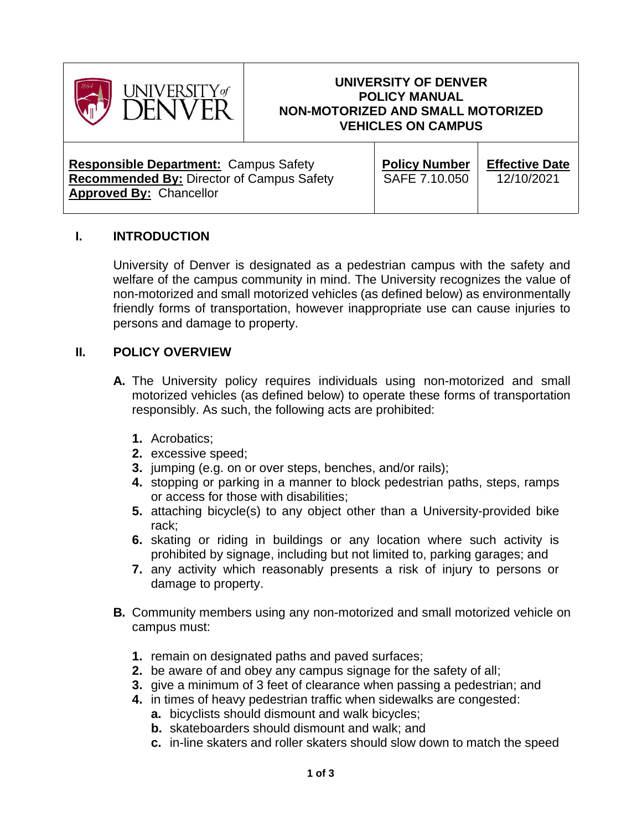

#### **UNIVERSITY OF DENVER POLICY MANUAL NON-MOTORIZED AND SMALL MOTORIZED VEHICLES ON CAMPUS**

**Responsible Department:** Campus Safety **Recommended By:** Director of Campus Safety **Approved By:** Chancellor

**Policy Number** SAFE 7.10.050

**Effective Date** 12/10/2021

# **I. INTRODUCTION**

University of Denver is designated as a pedestrian campus with the safety and welfare of the campus community in mind. The University recognizes the value of non-motorized and small motorized vehicles (as defined below) as environmentally friendly forms of transportation, however inappropriate use can cause injuries to persons and damage to property.

#### **II. POLICY OVERVIEW**

- **A.** The University policy requires individuals using non-motorized and small motorized vehicles (as defined below) to operate these forms of transportation responsibly. As such, the following acts are prohibited:
	- **1.** Acrobatics;
	- **2.** excessive speed;
	- **3.** jumping (e.g. on or over steps, benches, and/or rails);
	- **4.** stopping or parking in a manner to block pedestrian paths, steps, ramps or access for those with disabilities;
	- **5.** attaching bicycle(s) to any object other than a University-provided bike rack;
	- **6.** skating or riding in buildings or any location where such activity is prohibited by signage, including but not limited to, parking garages; and
	- **7.** any activity which reasonably presents a risk of injury to persons or damage to property.
- **B.** Community members using any non-motorized and small motorized vehicle on campus must:
	- **1.** remain on designated paths and paved surfaces;
	- **2.** be aware of and obey any campus signage for the safety of all;
	- **3.** give a minimum of 3 feet of clearance when passing a pedestrian; and
	- **4.** in times of heavy pedestrian traffic when sidewalks are congested:
		- **a.** bicyclists should dismount and walk bicycles;
		- **b.** skateboarders should dismount and walk; and
		- **c.** in-line skaters and roller skaters should slow down to match the speed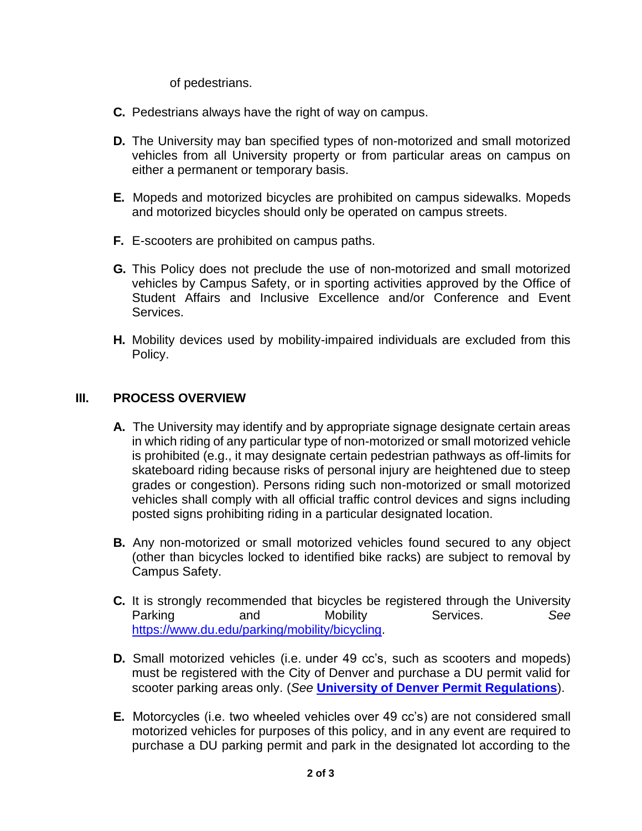of pedestrians.

- **C.** Pedestrians always have the right of way on campus.
- **D.** The University may ban specified types of non-motorized and small motorized vehicles from all University property or from particular areas on campus on either a permanent or temporary basis.
- **E.** Mopeds and motorized bicycles are prohibited on campus sidewalks. Mopeds and motorized bicycles should only be operated on campus streets.
- **F.** E-scooters are prohibited on campus paths.
- **G.** This Policy does not preclude the use of non-motorized and small motorized vehicles by Campus Safety, or in sporting activities approved by the Office of Student Affairs and Inclusive Excellence and/or Conference and Event Services.
- **H.** Mobility devices used by mobility-impaired individuals are excluded from this Policy.

# **III. PROCESS OVERVIEW**

- **A.** The University may identify and by appropriate signage designate certain areas in which riding of any particular type of non-motorized or small motorized vehicle is prohibited (e.g., it may designate certain pedestrian pathways as off-limits for skateboard riding because risks of personal injury are heightened due to steep grades or congestion). Persons riding such non-motorized or small motorized vehicles shall comply with all official traffic control devices and signs including posted signs prohibiting riding in a particular designated location.
- **B.** Any non-motorized or small motorized vehicles found secured to any object (other than bicycles locked to identified bike racks) are subject to removal by Campus Safety.
- **C.** It is strongly recommended that bicycles be registered through the University Parking and Mobility Services. See [https://www.du.edu/parking/mobility/bicycling.](https://www.du.edu/parking/mobility/bicycling)
- **D.** Small motorized vehicles (i.e. under 49 cc's, such as scooters and mopeds) must be registered with the City of Denver and purchase a DU permit valid for scooter parking areas only. (*See* **[University of Denver Permit Regulations](https://www.du.edu/parking/parking-policies-and-procedures/permit-regulations)**).
- **E.** Motorcycles (i.e. two wheeled vehicles over 49 cc's) are not considered small motorized vehicles for purposes of this policy, and in any event are required to purchase a DU parking permit and park in the designated lot according to the